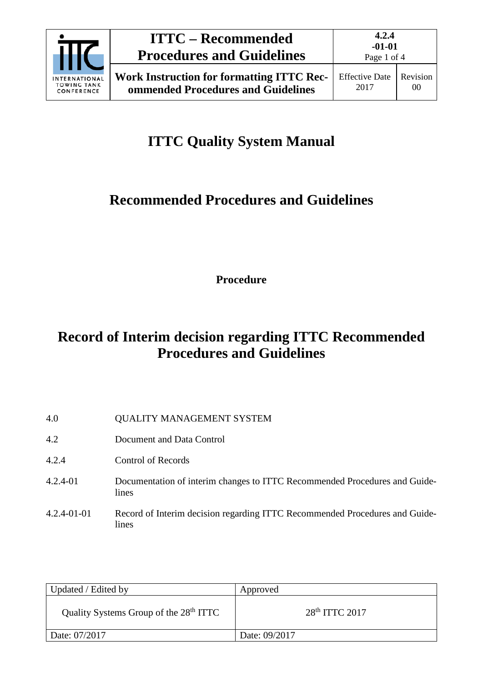

# **ITTC – Recommended Procedures and Guidelines**

# **ITTC Quality System Manual**

## **Recommended Procedures and Guidelines**

**Procedure**

## **Record of Interim decision regarding ITTC Recommended Procedures and Guidelines**

| 4.0               | <b>QUALITY MANAGEMENT SYSTEM</b>                                                     |
|-------------------|--------------------------------------------------------------------------------------|
| 4.2               | Document and Data Control                                                            |
| 4.2.4             | Control of Records                                                                   |
| $4.2.4 - 01$      | Documentation of interim changes to ITTC Recommended Procedures and Guide-<br>lines  |
| $4.2.4 - 01 - 01$ | Record of Interim decision regarding ITTC Recommended Procedures and Guide-<br>lines |

| Updated / Edited by                                | Approved           |
|----------------------------------------------------|--------------------|
| Quality Systems Group of the 28 <sup>th</sup> ITTC | $28th$ ITTC $2017$ |
| Date: 07/2017                                      | Date: 09/2017      |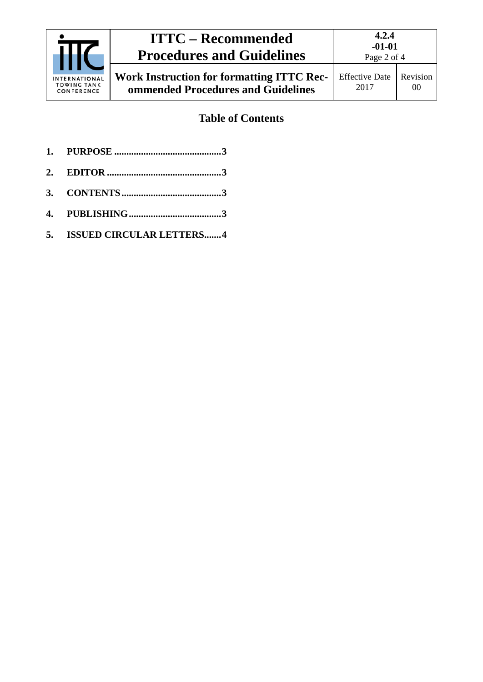| <b>INTERNATIONAL</b><br><b>TOWING TANK</b><br>CONFERENCE | <b>ITTC – Recommended</b><br><b>Procedures and Guidelines</b>                          | 4.2.4<br>$-01-01$<br>Page 2 of 4 |                                   |
|----------------------------------------------------------|----------------------------------------------------------------------------------------|----------------------------------|-----------------------------------|
|                                                          | <b>Work Instruction for formatting ITTC Rec-</b><br>ommended Procedures and Guidelines | <b>Effective Date</b><br>2017    | <b>Revision</b><br>0 <sup>0</sup> |

## **Table of Contents**

- **1. PURPOSE [............................................3](#page-2-0)**
- **2. EDITOR [...............................................3](#page-2-1)**
- **3. [CONTENTS.........................................3](#page-2-2)**
- **4. [PUBLISHING......................................3](#page-2-3)**
- **5. [ISSUED CIRCULAR LETTERS.......4](#page-3-0)**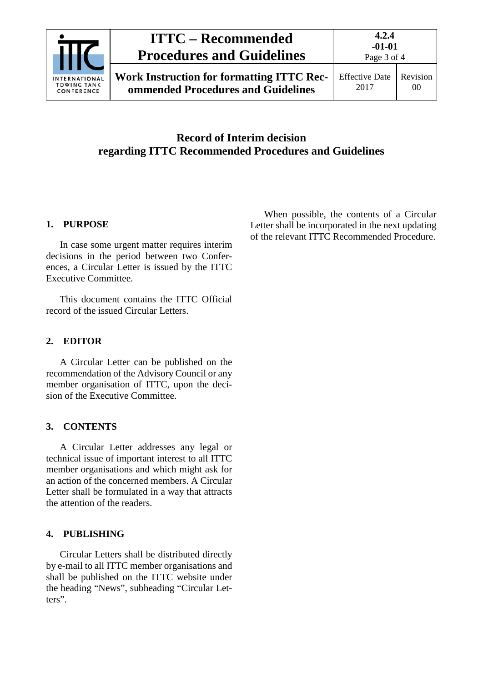

## **ITTC – Recommended Procedures and Guidelines**

Effective Date 2017 Revision 00

### **Record of Interim decision regarding ITTC Recommended Procedures and Guidelines**

### <span id="page-2-0"></span>**1. PURPOSE**

In case some urgent matter requires interim decisions in the period between two Conferences, a Circular Letter is issued by the ITTC Executive Committee.

This document contains the ITTC Official record of the issued Circular Letters.

#### <span id="page-2-1"></span>**2. EDITOR**

A Circular Letter can be published on the recommendation of the Advisory Council or any member organisation of ITTC, upon the decision of the Executive Committee.

#### <span id="page-2-2"></span>**3. CONTENTS**

A Circular Letter addresses any legal or technical issue of important interest to all ITTC member organisations and which might ask for an action of the concerned members. A Circular Letter shall be formulated in a way that attracts the attention of the readers.

#### <span id="page-2-3"></span>**4. PUBLISHING**

Circular Letters shall be distributed directly by e-mail to all ITTC member organisations and shall be published on the ITTC website under the heading "News", subheading "Circular Letters".

When possible, the contents of a Circular Letter shall be incorporated in the next updating of the relevant ITTC Recommended Procedure.